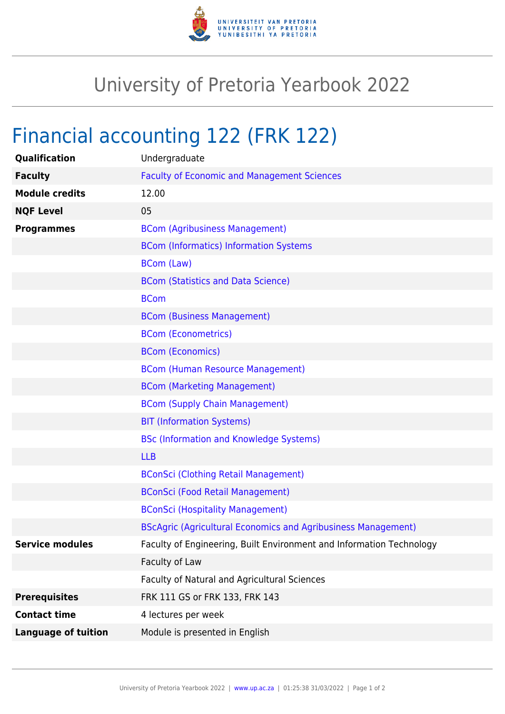

## University of Pretoria Yearbook 2022

## Financial accounting 122 (FRK 122)

| Qualification              | Undergraduate                                                        |
|----------------------------|----------------------------------------------------------------------|
| <b>Faculty</b>             | <b>Faculty of Economic and Management Sciences</b>                   |
| <b>Module credits</b>      | 12.00                                                                |
| <b>NQF Level</b>           | 05                                                                   |
| <b>Programmes</b>          | <b>BCom (Agribusiness Management)</b>                                |
|                            | <b>BCom (Informatics) Information Systems</b>                        |
|                            | <b>BCom (Law)</b>                                                    |
|                            | <b>BCom (Statistics and Data Science)</b>                            |
|                            | <b>BCom</b>                                                          |
|                            | <b>BCom (Business Management)</b>                                    |
|                            | <b>BCom (Econometrics)</b>                                           |
|                            | <b>BCom (Economics)</b>                                              |
|                            | <b>BCom (Human Resource Management)</b>                              |
|                            | <b>BCom (Marketing Management)</b>                                   |
|                            | <b>BCom (Supply Chain Management)</b>                                |
|                            | <b>BIT (Information Systems)</b>                                     |
|                            | <b>BSc (Information and Knowledge Systems)</b>                       |
|                            | <b>LLB</b>                                                           |
|                            | <b>BConSci (Clothing Retail Management)</b>                          |
|                            | <b>BConSci (Food Retail Management)</b>                              |
|                            | <b>BConSci (Hospitality Management)</b>                              |
|                            | <b>BScAgric (Agricultural Economics and Agribusiness Management)</b> |
| <b>Service modules</b>     | Faculty of Engineering, Built Environment and Information Technology |
|                            | Faculty of Law                                                       |
|                            | Faculty of Natural and Agricultural Sciences                         |
| <b>Prerequisites</b>       | FRK 111 GS or FRK 133, FRK 143                                       |
| <b>Contact time</b>        | 4 lectures per week                                                  |
| <b>Language of tuition</b> | Module is presented in English                                       |
|                            |                                                                      |